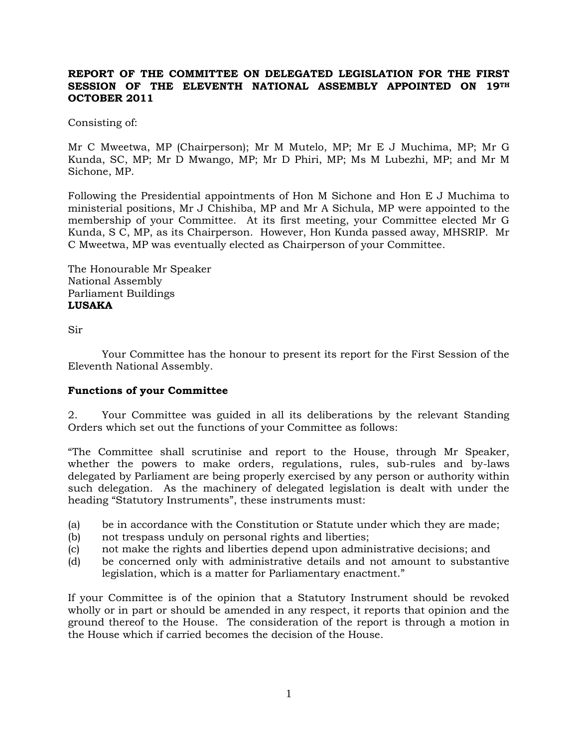## **REPORT OF THE COMMITTEE ON DELEGATED LEGISLATION FOR THE FIRST SESSION OF THE ELEVENTH NATIONAL ASSEMBLY APPOINTED ON 19TH OCTOBER 2011**

Consisting of:

Mr C Mweetwa, MP (Chairperson); Mr M Mutelo, MP; Mr E J Muchima, MP; Mr G Kunda, SC, MP; Mr D Mwango, MP; Mr D Phiri, MP; Ms M Lubezhi, MP; and Mr M Sichone, MP.

Following the Presidential appointments of Hon M Sichone and Hon E J Muchima to ministerial positions, Mr J Chishiba, MP and Mr A Sichula, MP were appointed to the membership of your Committee. At its first meeting, your Committee elected Mr G Kunda, S C, MP, as its Chairperson. However, Hon Kunda passed away, MHSRIP. Mr C Mweetwa, MP was eventually elected as Chairperson of your Committee.

The Honourable Mr Speaker National Assembly Parliament Buildings **LUSAKA**

Sir

Your Committee has the honour to present its report for the First Session of the Eleventh National Assembly.

## **Functions of your Committee**

2. Your Committee was guided in all its deliberations by the relevant Standing Orders which set out the functions of your Committee as follows:

"The Committee shall scrutinise and report to the House, through Mr Speaker, whether the powers to make orders, regulations, rules, sub-rules and by-laws delegated by Parliament are being properly exercised by any person or authority within such delegation. As the machinery of delegated legislation is dealt with under the heading "Statutory Instruments", these instruments must:

- (a) be in accordance with the Constitution or Statute under which they are made;
- (b) not trespass unduly on personal rights and liberties;
- (c) not make the rights and liberties depend upon administrative decisions; and
- (d) be concerned only with administrative details and not amount to substantive legislation, which is a matter for Parliamentary enactment."

If your Committee is of the opinion that a Statutory Instrument should be revoked wholly or in part or should be amended in any respect, it reports that opinion and the ground thereof to the House. The consideration of the report is through a motion in the House which if carried becomes the decision of the House.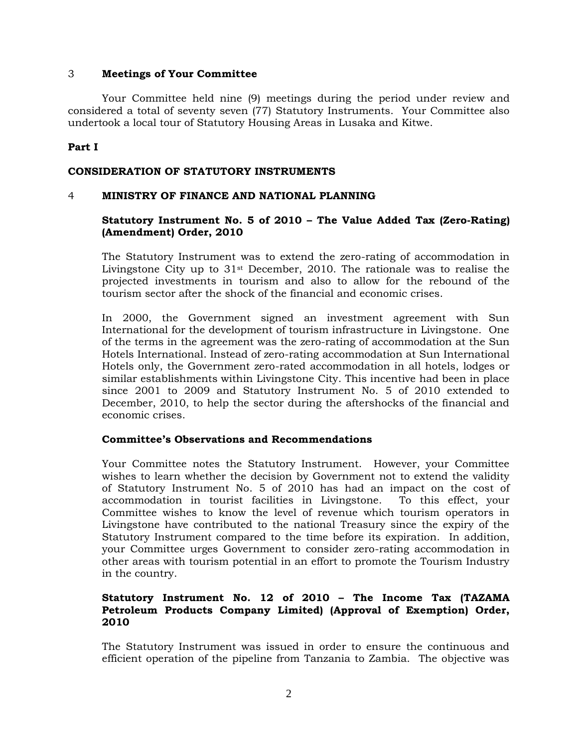## 3 **Meetings of Your Committee**

Your Committee held nine (9) meetings during the period under review and considered a total of seventy seven (77) Statutory Instruments. Your Committee also undertook a local tour of Statutory Housing Areas in Lusaka and Kitwe.

# **Part I**

# **CONSIDERATION OF STATUTORY INSTRUMENTS**

## 4 **MINISTRY OF FINANCE AND NATIONAL PLANNING**

# **Statutory Instrument No. 5 of 2010 – The Value Added Tax (Zero-Rating) (Amendment) Order, 2010**

The Statutory Instrument was to extend the zero-rating of accommodation in Livingstone City up to  $31<sup>st</sup>$  December, 2010. The rationale was to realise the projected investments in tourism and also to allow for the rebound of the tourism sector after the shock of the financial and economic crises.

In 2000, the Government signed an investment agreement with Sun International for the development of tourism infrastructure in Livingstone. One of the terms in the agreement was the zero-rating of accommodation at the Sun Hotels International. Instead of zero-rating accommodation at Sun International Hotels only, the Government zero-rated accommodation in all hotels, lodges or similar establishments within Livingstone City. This incentive had been in place since 2001 to 2009 and Statutory Instrument No. 5 of 2010 extended to December, 2010, to help the sector during the aftershocks of the financial and economic crises.

## **Committee's Observations and Recommendations**

Your Committee notes the Statutory Instrument. However, your Committee wishes to learn whether the decision by Government not to extend the validity of Statutory Instrument No. 5 of 2010 has had an impact on the cost of accommodation in tourist facilities in Livingstone. To this effect, your Committee wishes to know the level of revenue which tourism operators in Livingstone have contributed to the national Treasury since the expiry of the Statutory Instrument compared to the time before its expiration. In addition, your Committee urges Government to consider zero-rating accommodation in other areas with tourism potential in an effort to promote the Tourism Industry in the country.

# **Statutory Instrument No. 12 of 2010 – The Income Tax (TAZAMA Petroleum Products Company Limited) (Approval of Exemption) Order, 2010**

The Statutory Instrument was issued in order to ensure the continuous and efficient operation of the pipeline from Tanzania to Zambia. The objective was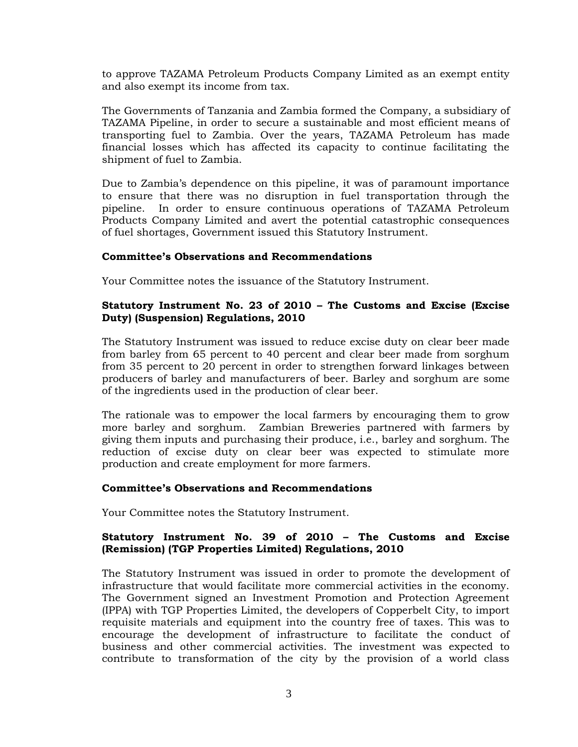to approve TAZAMA Petroleum Products Company Limited as an exempt entity and also exempt its income from tax.

The Governments of Tanzania and Zambia formed the Company, a subsidiary of TAZAMA Pipeline, in order to secure a sustainable and most efficient means of transporting fuel to Zambia. Over the years, TAZAMA Petroleum has made financial losses which has affected its capacity to continue facilitating the shipment of fuel to Zambia.

Due to Zambia's dependence on this pipeline, it was of paramount importance to ensure that there was no disruption in fuel transportation through the pipeline. In order to ensure continuous operations of TAZAMA Petroleum Products Company Limited and avert the potential catastrophic consequences of fuel shortages, Government issued this Statutory Instrument.

## **Committee's Observations and Recommendations**

Your Committee notes the issuance of the Statutory Instrument.

# **Statutory Instrument No. 23 of 2010 – The Customs and Excise (Excise Duty) (Suspension) Regulations, 2010**

The Statutory Instrument was issued to reduce excise duty on clear beer made from barley from 65 percent to 40 percent and clear beer made from sorghum from 35 percent to 20 percent in order to strengthen forward linkages between producers of barley and manufacturers of beer. Barley and sorghum are some of the ingredients used in the production of clear beer.

The rationale was to empower the local farmers by encouraging them to grow more barley and sorghum. Zambian Breweries partnered with farmers by giving them inputs and purchasing their produce, i.e., barley and sorghum. The reduction of excise duty on clear beer was expected to stimulate more production and create employment for more farmers.

## **Committee's Observations and Recommendations**

Your Committee notes the Statutory Instrument.

# **Statutory Instrument No. 39 of 2010 – The Customs and Excise (Remission) (TGP Properties Limited) Regulations, 2010**

The Statutory Instrument was issued in order to promote the development of infrastructure that would facilitate more commercial activities in the economy. The Government signed an Investment Promotion and Protection Agreement (IPPA) with TGP Properties Limited, the developers of Copperbelt City, to import requisite materials and equipment into the country free of taxes. This was to encourage the development of infrastructure to facilitate the conduct of business and other commercial activities. The investment was expected to contribute to transformation of the city by the provision of a world class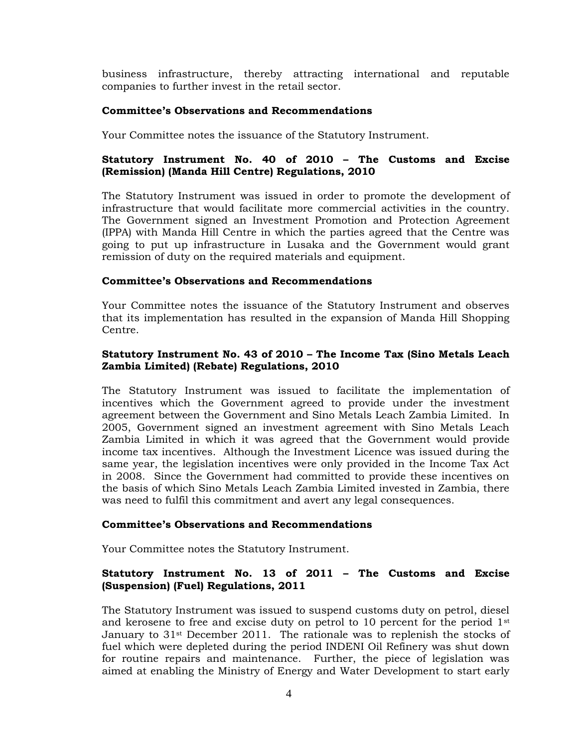business infrastructure, thereby attracting international and reputable companies to further invest in the retail sector.

## **Committee's Observations and Recommendations**

Your Committee notes the issuance of the Statutory Instrument.

# **Statutory Instrument No. 40 of 2010 – The Customs and Excise (Remission) (Manda Hill Centre) Regulations, 2010**

The Statutory Instrument was issued in order to promote the development of infrastructure that would facilitate more commercial activities in the country. The Government signed an Investment Promotion and Protection Agreement (IPPA) with Manda Hill Centre in which the parties agreed that the Centre was going to put up infrastructure in Lusaka and the Government would grant remission of duty on the required materials and equipment.

## **Committee's Observations and Recommendations**

Your Committee notes the issuance of the Statutory Instrument and observes that its implementation has resulted in the expansion of Manda Hill Shopping Centre.

# **Statutory Instrument No. 43 of 2010 – The Income Tax (Sino Metals Leach Zambia Limited) (Rebate) Regulations, 2010**

The Statutory Instrument was issued to facilitate the implementation of incentives which the Government agreed to provide under the investment agreement between the Government and Sino Metals Leach Zambia Limited. In 2005, Government signed an investment agreement with Sino Metals Leach Zambia Limited in which it was agreed that the Government would provide income tax incentives. Although the Investment Licence was issued during the same year, the legislation incentives were only provided in the Income Tax Act in 2008. Since the Government had committed to provide these incentives on the basis of which Sino Metals Leach Zambia Limited invested in Zambia, there was need to fulfil this commitment and avert any legal consequences.

## **Committee's Observations and Recommendations**

Your Committee notes the Statutory Instrument.

# **Statutory Instrument No. 13 of 2011 – The Customs and Excise (Suspension) (Fuel) Regulations, 2011**

The Statutory Instrument was issued to suspend customs duty on petrol, diesel and kerosene to free and excise duty on petrol to 10 percent for the period 1st January to  $31$ <sup>st</sup> December 2011. The rationale was to replenish the stocks of fuel which were depleted during the period INDENI Oil Refinery was shut down for routine repairs and maintenance. Further, the piece of legislation was aimed at enabling the Ministry of Energy and Water Development to start early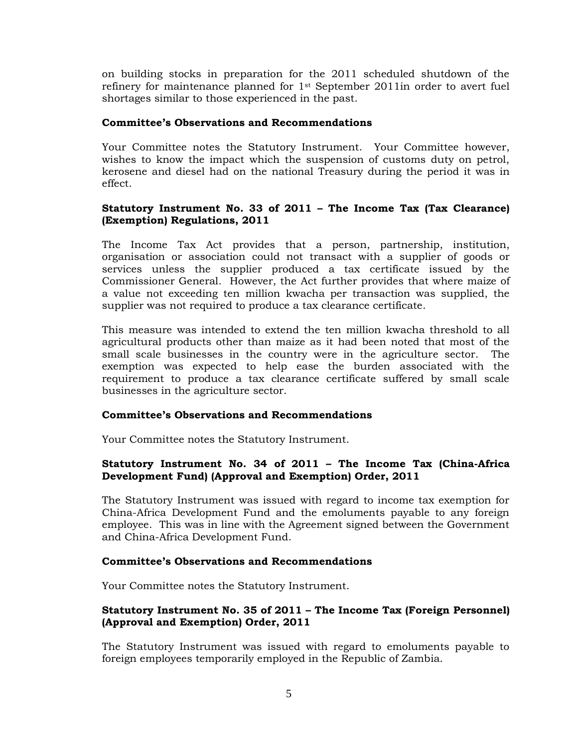on building stocks in preparation for the 2011 scheduled shutdown of the refinery for maintenance planned for  $1<sup>st</sup>$  September 2011in order to avert fuel shortages similar to those experienced in the past.

## **Committee's Observations and Recommendations**

Your Committee notes the Statutory Instrument. Your Committee however, wishes to know the impact which the suspension of customs duty on petrol, kerosene and diesel had on the national Treasury during the period it was in effect.

# **Statutory Instrument No. 33 of 2011 – The Income Tax (Tax Clearance) (Exemption) Regulations, 2011**

The Income Tax Act provides that a person, partnership, institution, organisation or association could not transact with a supplier of goods or services unless the supplier produced a tax certificate issued by the Commissioner General. However, the Act further provides that where maize of a value not exceeding ten million kwacha per transaction was supplied, the supplier was not required to produce a tax clearance certificate.

This measure was intended to extend the ten million kwacha threshold to all agricultural products other than maize as it had been noted that most of the small scale businesses in the country were in the agriculture sector. The exemption was expected to help ease the burden associated with the requirement to produce a tax clearance certificate suffered by small scale businesses in the agriculture sector.

## **Committee's Observations and Recommendations**

Your Committee notes the Statutory Instrument.

# **Statutory Instrument No. 34 of 2011 – The Income Tax (China-Africa Development Fund) (Approval and Exemption) Order, 2011**

The Statutory Instrument was issued with regard to income tax exemption for China-Africa Development Fund and the emoluments payable to any foreign employee. This was in line with the Agreement signed between the Government and China-Africa Development Fund.

## **Committee's Observations and Recommendations**

Your Committee notes the Statutory Instrument.

# **Statutory Instrument No. 35 of 2011 – The Income Tax (Foreign Personnel) (Approval and Exemption) Order, 2011**

The Statutory Instrument was issued with regard to emoluments payable to foreign employees temporarily employed in the Republic of Zambia.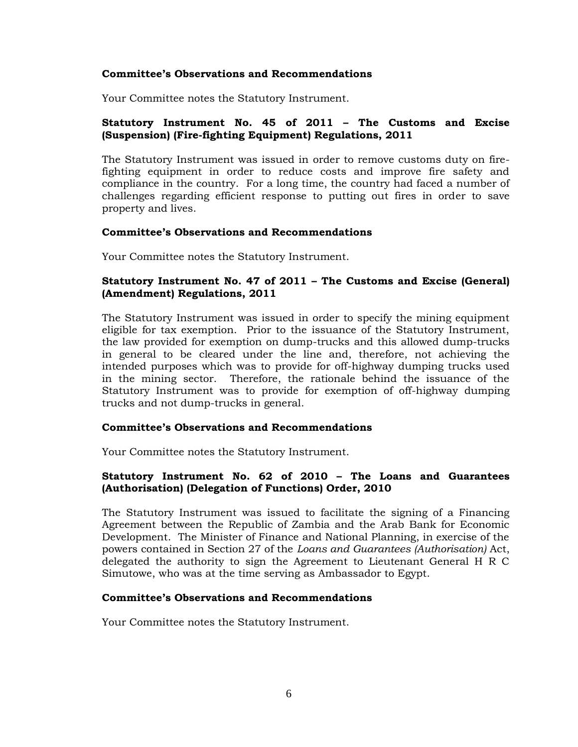Your Committee notes the Statutory Instrument.

## **Statutory Instrument No. 45 of 2011 – The Customs and Excise (Suspension) (Fire-fighting Equipment) Regulations, 2011**

The Statutory Instrument was issued in order to remove customs duty on firefighting equipment in order to reduce costs and improve fire safety and compliance in the country. For a long time, the country had faced a number of challenges regarding efficient response to putting out fires in order to save property and lives.

#### **Committee's Observations and Recommendations**

Your Committee notes the Statutory Instrument.

# **Statutory Instrument No. 47 of 2011 – The Customs and Excise (General) (Amendment) Regulations, 2011**

The Statutory Instrument was issued in order to specify the mining equipment eligible for tax exemption. Prior to the issuance of the Statutory Instrument, the law provided for exemption on dump-trucks and this allowed dump-trucks in general to be cleared under the line and, therefore, not achieving the intended purposes which was to provide for off-highway dumping trucks used in the mining sector. Therefore, the rationale behind the issuance of the Statutory Instrument was to provide for exemption of off-highway dumping trucks and not dump-trucks in general.

#### **Committee's Observations and Recommendations**

Your Committee notes the Statutory Instrument.

## **Statutory Instrument No. 62 of 2010 – The Loans and Guarantees (Authorisation) (Delegation of Functions) Order, 2010**

The Statutory Instrument was issued to facilitate the signing of a Financing Agreement between the Republic of Zambia and the Arab Bank for Economic Development. The Minister of Finance and National Planning, in exercise of the powers contained in Section 27 of the *Loans and Guarantees (Authorisation)* Act, delegated the authority to sign the Agreement to Lieutenant General H R C Simutowe, who was at the time serving as Ambassador to Egypt.

#### **Committee's Observations and Recommendations**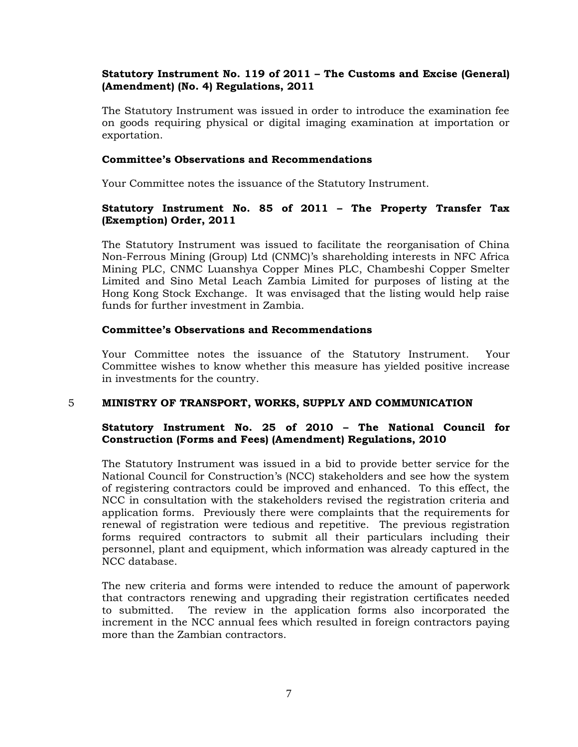# **Statutory Instrument No. 119 of 2011 – The Customs and Excise (General) (Amendment) (No. 4) Regulations, 2011**

The Statutory Instrument was issued in order to introduce the examination fee on goods requiring physical or digital imaging examination at importation or exportation.

## **Committee's Observations and Recommendations**

Your Committee notes the issuance of the Statutory Instrument.

# **Statutory Instrument No. 85 of 2011 – The Property Transfer Tax (Exemption) Order, 2011**

The Statutory Instrument was issued to facilitate the reorganisation of China Non-Ferrous Mining (Group) Ltd (CNMC)'s shareholding interests in NFC Africa Mining PLC, CNMC Luanshya Copper Mines PLC, Chambeshi Copper Smelter Limited and Sino Metal Leach Zambia Limited for purposes of listing at the Hong Kong Stock Exchange. It was envisaged that the listing would help raise funds for further investment in Zambia.

## **Committee's Observations and Recommendations**

Your Committee notes the issuance of the Statutory Instrument. Your Committee wishes to know whether this measure has yielded positive increase in investments for the country.

## 5 **MINISTRY OF TRANSPORT, WORKS, SUPPLY AND COMMUNICATION**

# **Statutory Instrument No. 25 of 2010 – The National Council for Construction (Forms and Fees) (Amendment) Regulations, 2010**

The Statutory Instrument was issued in a bid to provide better service for the National Council for Construction's (NCC) stakeholders and see how the system of registering contractors could be improved and enhanced. To this effect, the NCC in consultation with the stakeholders revised the registration criteria and application forms. Previously there were complaints that the requirements for renewal of registration were tedious and repetitive. The previous registration forms required contractors to submit all their particulars including their personnel, plant and equipment, which information was already captured in the NCC database.

The new criteria and forms were intended to reduce the amount of paperwork that contractors renewing and upgrading their registration certificates needed to submitted. The review in the application forms also incorporated the increment in the NCC annual fees which resulted in foreign contractors paying more than the Zambian contractors.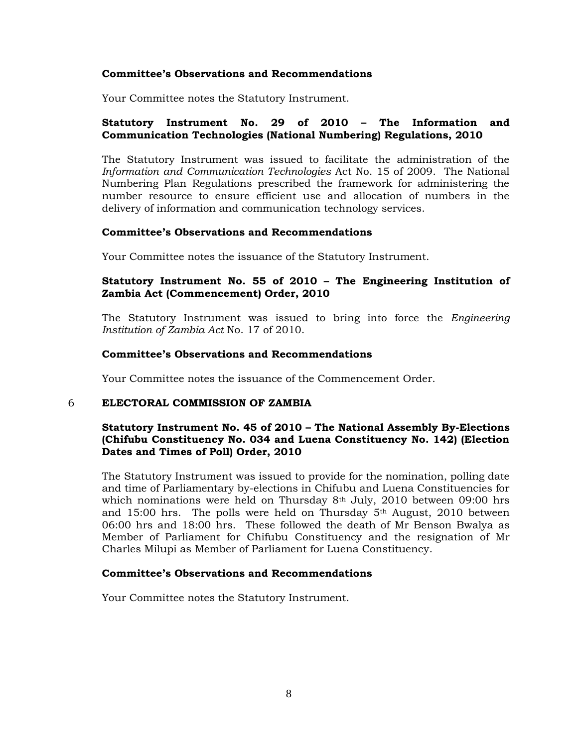Your Committee notes the Statutory Instrument.

## **Statutory Instrument No. 29 of 2010 – The Information and Communication Technologies (National Numbering) Regulations, 2010**

The Statutory Instrument was issued to facilitate the administration of the *Information and Communication Technologies* Act No. 15 of 2009. The National Numbering Plan Regulations prescribed the framework for administering the number resource to ensure efficient use and allocation of numbers in the delivery of information and communication technology services.

#### **Committee's Observations and Recommendations**

Your Committee notes the issuance of the Statutory Instrument.

## **Statutory Instrument No. 55 of 2010 – The Engineering Institution of Zambia Act (Commencement) Order, 2010**

The Statutory Instrument was issued to bring into force the *Engineering Institution of Zambia Act* No. 17 of 2010.

#### **Committee's Observations and Recommendations**

Your Committee notes the issuance of the Commencement Order.

#### 6 **ELECTORAL COMMISSION OF ZAMBIA**

# **Statutory Instrument No. 45 of 2010 – The National Assembly By-Elections (Chifubu Constituency No. 034 and Luena Constituency No. 142) (Election Dates and Times of Poll) Order, 2010**

The Statutory Instrument was issued to provide for the nomination, polling date and time of Parliamentary by-elections in Chifubu and Luena Constituencies for which nominations were held on Thursday  $8<sup>th</sup>$  July, 2010 between 09:00 hrs and 15:00 hrs. The polls were held on Thursday 5th August, 2010 between 06:00 hrs and 18:00 hrs. These followed the death of Mr Benson Bwalya as Member of Parliament for Chifubu Constituency and the resignation of Mr Charles Milupi as Member of Parliament for Luena Constituency.

#### **Committee's Observations and Recommendations**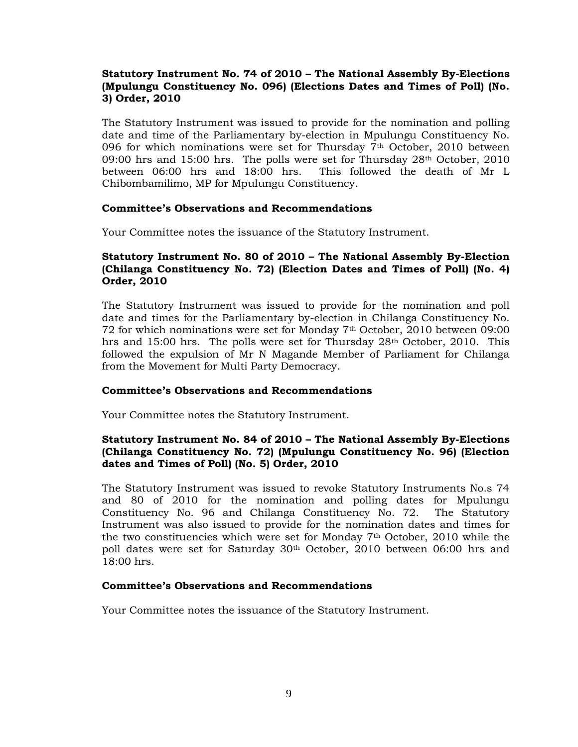# **Statutory Instrument No. 74 of 2010 – The National Assembly By-Elections (Mpulungu Constituency No. 096) (Elections Dates and Times of Poll) (No. 3) Order, 2010**

The Statutory Instrument was issued to provide for the nomination and polling date and time of the Parliamentary by-election in Mpulungu Constituency No. 096 for which nominations were set for Thursday 7th October, 2010 between 09:00 hrs and 15:00 hrs. The polls were set for Thursday 28th October, 2010 between 06:00 hrs and 18:00 hrs. This followed the death of Mr L Chibombamilimo, MP for Mpulungu Constituency.

## **Committee's Observations and Recommendations**

Your Committee notes the issuance of the Statutory Instrument.

# **Statutory Instrument No. 80 of 2010 – The National Assembly By-Election (Chilanga Constituency No. 72) (Election Dates and Times of Poll) (No. 4) Order, 2010**

The Statutory Instrument was issued to provide for the nomination and poll date and times for the Parliamentary by-election in Chilanga Constituency No. 72 for which nominations were set for Monday 7th October, 2010 between 09:00 hrs and 15:00 hrs. The polls were set for Thursday 28th October, 2010. This followed the expulsion of Mr N Magande Member of Parliament for Chilanga from the Movement for Multi Party Democracy.

## **Committee's Observations and Recommendations**

Your Committee notes the Statutory Instrument.

# **Statutory Instrument No. 84 of 2010 – The National Assembly By-Elections (Chilanga Constituency No. 72) (Mpulungu Constituency No. 96) (Election dates and Times of Poll) (No. 5) Order, 2010**

The Statutory Instrument was issued to revoke Statutory Instruments No.s 74 and 80 of 2010 for the nomination and polling dates for Mpulungu Constituency No. 96 and Chilanga Constituency No. 72. The Statutory Instrument was also issued to provide for the nomination dates and times for the two constituencies which were set for Monday  $7<sup>th</sup>$  October, 2010 while the poll dates were set for Saturday 30th October, 2010 between 06:00 hrs and  $18:00$  hrs.

## **Committee's Observations and Recommendations**

Your Committee notes the issuance of the Statutory Instrument.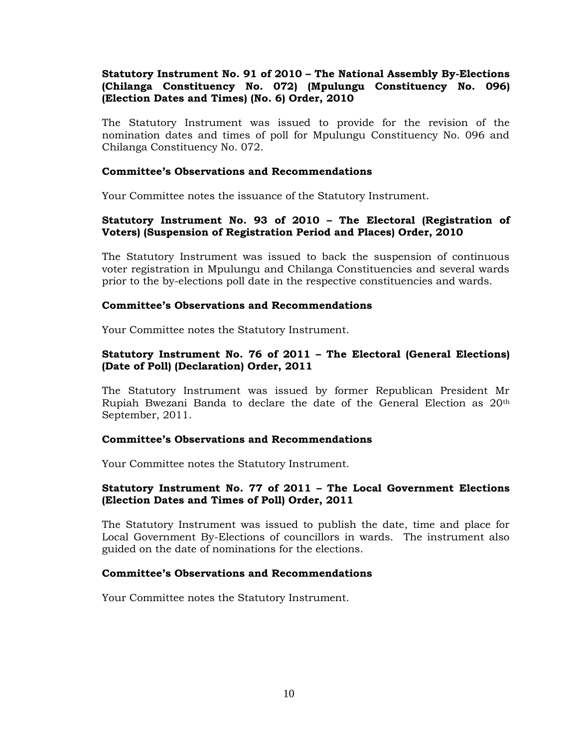# **Statutory Instrument No. 91 of 2010 – The National Assembly By-Elections (Chilanga Constituency No. 072) (Mpulungu Constituency No. 096) (Election Dates and Times) (No. 6) Order, 2010**

The Statutory Instrument was issued to provide for the revision of the nomination dates and times of poll for Mpulungu Constituency No. 096 and Chilanga Constituency No. 072.

## **Committee's Observations and Recommendations**

Your Committee notes the issuance of the Statutory Instrument.

# **Statutory Instrument No. 93 of 2010 – The Electoral (Registration of Voters) (Suspension of Registration Period and Places) Order, 2010**

The Statutory Instrument was issued to back the suspension of continuous voter registration in Mpulungu and Chilanga Constituencies and several wards prior to the by-elections poll date in the respective constituencies and wards.

## **Committee's Observations and Recommendations**

Your Committee notes the Statutory Instrument.

# **Statutory Instrument No. 76 of 2011 – The Electoral (General Elections) (Date of Poll) (Declaration) Order, 2011**

The Statutory Instrument was issued by former Republican President Mr Rupiah Bwezani Banda to declare the date of the General Election as 20th September, 2011.

#### **Committee's Observations and Recommendations**

Your Committee notes the Statutory Instrument.

## **Statutory Instrument No. 77 of 2011 – The Local Government Elections (Election Dates and Times of Poll) Order, 2011**

The Statutory Instrument was issued to publish the date, time and place for Local Government By-Elections of councillors in wards. The instrument also guided on the date of nominations for the elections.

## **Committee's Observations and Recommendations**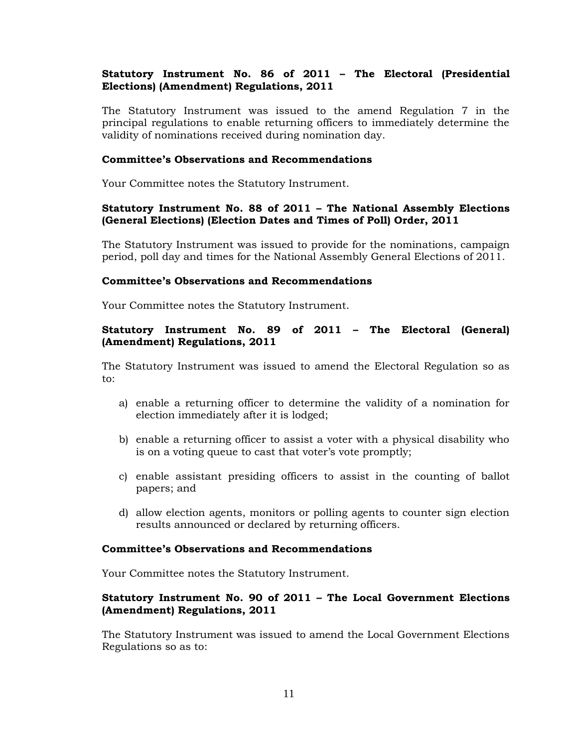# **Statutory Instrument No. 86 of 2011 – The Electoral (Presidential Elections) (Amendment) Regulations, 2011**

The Statutory Instrument was issued to the amend Regulation 7 in the principal regulations to enable returning officers to immediately determine the validity of nominations received during nomination day.

#### **Committee's Observations and Recommendations**

Your Committee notes the Statutory Instrument.

## **Statutory Instrument No. 88 of 2011 – The National Assembly Elections (General Elections) (Election Dates and Times of Poll) Order, 2011**

The Statutory Instrument was issued to provide for the nominations, campaign period, poll day and times for the National Assembly General Elections of 2011.

#### **Committee's Observations and Recommendations**

Your Committee notes the Statutory Instrument.

# **Statutory Instrument No. 89 of 2011 – The Electoral (General) (Amendment) Regulations, 2011**

The Statutory Instrument was issued to amend the Electoral Regulation so as to:

- a) enable a returning officer to determine the validity of a nomination for election immediately after it is lodged;
- b) enable a returning officer to assist a voter with a physical disability who is on a voting queue to cast that voter's vote promptly;
- c) enable assistant presiding officers to assist in the counting of ballot papers; and
- d) allow election agents, monitors or polling agents to counter sign election results announced or declared by returning officers.

#### **Committee's Observations and Recommendations**

Your Committee notes the Statutory Instrument.

## **Statutory Instrument No. 90 of 2011 – The Local Government Elections (Amendment) Regulations, 2011**

The Statutory Instrument was issued to amend the Local Government Elections Regulations so as to: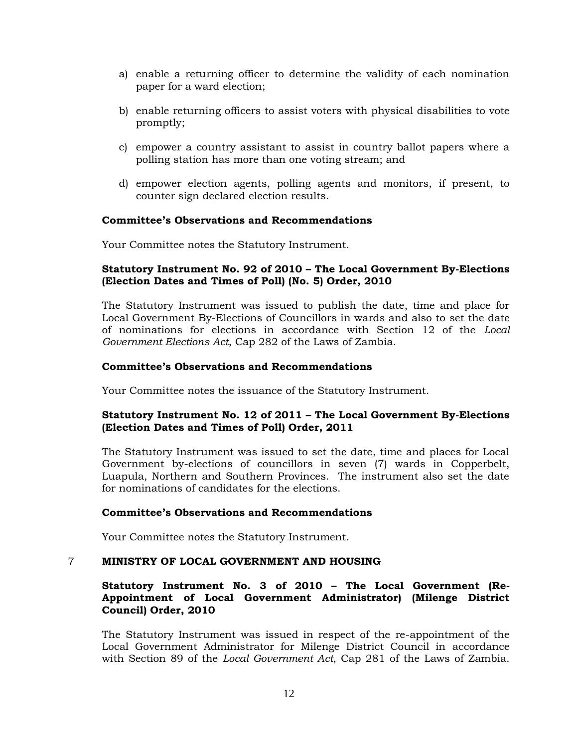- a) enable a returning officer to determine the validity of each nomination paper for a ward election;
- b) enable returning officers to assist voters with physical disabilities to vote promptly;
- c) empower a country assistant to assist in country ballot papers where a polling station has more than one voting stream; and
- d) empower election agents, polling agents and monitors, if present, to counter sign declared election results.

Your Committee notes the Statutory Instrument.

## **Statutory Instrument No. 92 of 2010 – The Local Government By-Elections (Election Dates and Times of Poll) (No. 5) Order, 2010**

The Statutory Instrument was issued to publish the date, time and place for Local Government By-Elections of Councillors in wards and also to set the date of nominations for elections in accordance with Section 12 of the *Local Government Elections Act*, Cap 282 of the Laws of Zambia.

#### **Committee's Observations and Recommendations**

Your Committee notes the issuance of the Statutory Instrument.

## **Statutory Instrument No. 12 of 2011 – The Local Government By-Elections (Election Dates and Times of Poll) Order, 2011**

The Statutory Instrument was issued to set the date, time and places for Local Government by-elections of councillors in seven (7) wards in Copperbelt, Luapula, Northern and Southern Provinces. The instrument also set the date for nominations of candidates for the elections.

## **Committee's Observations and Recommendations**

Your Committee notes the Statutory Instrument.

## 7 **MINISTRY OF LOCAL GOVERNMENT AND HOUSING**

## **Statutory Instrument No. 3 of 2010 – The Local Government (Re-Appointment of Local Government Administrator) (Milenge District Council) Order, 2010**

The Statutory Instrument was issued in respect of the re-appointment of the Local Government Administrator for Milenge District Council in accordance with Section 89 of the *Local Government Act*, Cap 281 of the Laws of Zambia.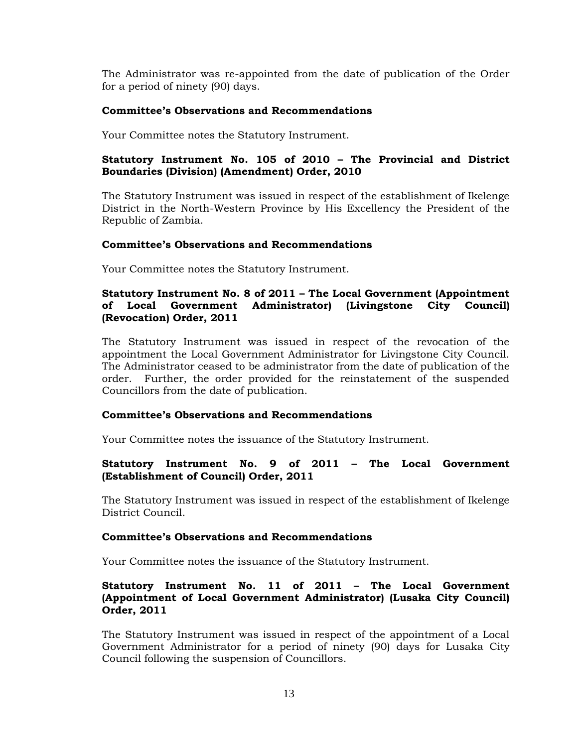The Administrator was re-appointed from the date of publication of the Order for a period of ninety (90) days.

## **Committee's Observations and Recommendations**

Your Committee notes the Statutory Instrument.

# **Statutory Instrument No. 105 of 2010 – The Provincial and District Boundaries (Division) (Amendment) Order, 2010**

The Statutory Instrument was issued in respect of the establishment of Ikelenge District in the North-Western Province by His Excellency the President of the Republic of Zambia.

## **Committee's Observations and Recommendations**

Your Committee notes the Statutory Instrument.

## **Statutory Instrument No. 8 of 2011 – The Local Government (Appointment of Local Government Administrator) (Livingstone City Council) (Revocation) Order, 2011**

The Statutory Instrument was issued in respect of the revocation of the appointment the Local Government Administrator for Livingstone City Council. The Administrator ceased to be administrator from the date of publication of the order. Further, the order provided for the reinstatement of the suspended Councillors from the date of publication.

## **Committee's Observations and Recommendations**

Your Committee notes the issuance of the Statutory Instrument.

# **Statutory Instrument No. 9 of 2011 – The Local Government (Establishment of Council) Order, 2011**

The Statutory Instrument was issued in respect of the establishment of Ikelenge District Council.

## **Committee's Observations and Recommendations**

Your Committee notes the issuance of the Statutory Instrument.

## **Statutory Instrument No. 11 of 2011 – The Local Government (Appointment of Local Government Administrator) (Lusaka City Council) Order, 2011**

The Statutory Instrument was issued in respect of the appointment of a Local Government Administrator for a period of ninety (90) days for Lusaka City Council following the suspension of Councillors.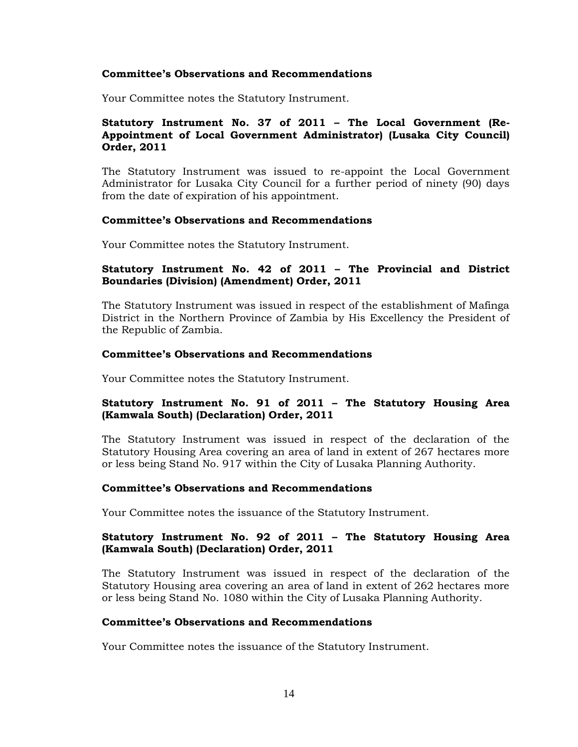Your Committee notes the Statutory Instrument.

## **Statutory Instrument No. 37 of 2011 – The Local Government (Re-Appointment of Local Government Administrator) (Lusaka City Council) Order, 2011**

The Statutory Instrument was issued to re-appoint the Local Government Administrator for Lusaka City Council for a further period of ninety (90) days from the date of expiration of his appointment.

#### **Committee's Observations and Recommendations**

Your Committee notes the Statutory Instrument.

## **Statutory Instrument No. 42 of 2011 – The Provincial and District Boundaries (Division) (Amendment) Order, 2011**

The Statutory Instrument was issued in respect of the establishment of Mafinga District in the Northern Province of Zambia by His Excellency the President of the Republic of Zambia.

#### **Committee's Observations and Recommendations**

Your Committee notes the Statutory Instrument.

## **Statutory Instrument No. 91 of 2011 – The Statutory Housing Area (Kamwala South) (Declaration) Order, 2011**

The Statutory Instrument was issued in respect of the declaration of the Statutory Housing Area covering an area of land in extent of 267 hectares more or less being Stand No. 917 within the City of Lusaka Planning Authority.

#### **Committee's Observations and Recommendations**

Your Committee notes the issuance of the Statutory Instrument.

## **Statutory Instrument No. 92 of 2011 – The Statutory Housing Area (Kamwala South) (Declaration) Order, 2011**

The Statutory Instrument was issued in respect of the declaration of the Statutory Housing area covering an area of land in extent of 262 hectares more or less being Stand No. 1080 within the City of Lusaka Planning Authority.

#### **Committee's Observations and Recommendations**

Your Committee notes the issuance of the Statutory Instrument.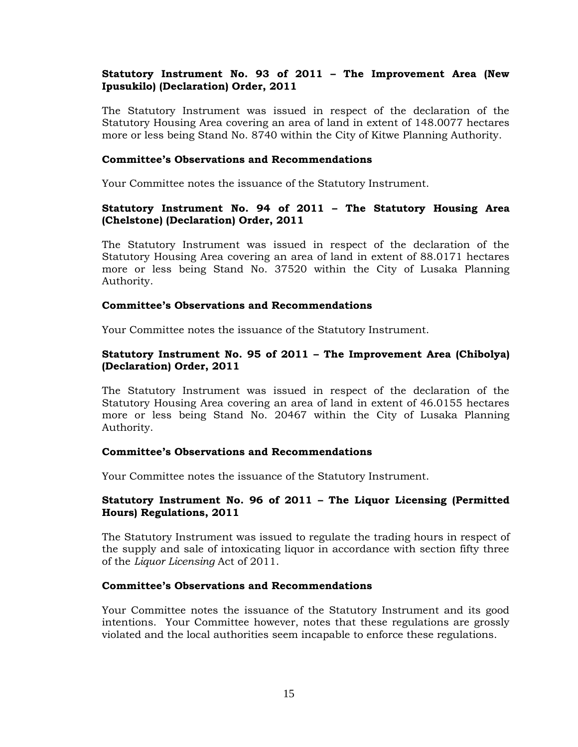# **Statutory Instrument No. 93 of 2011 – The Improvement Area (New Ipusukilo) (Declaration) Order, 2011**

The Statutory Instrument was issued in respect of the declaration of the Statutory Housing Area covering an area of land in extent of 148.0077 hectares more or less being Stand No. 8740 within the City of Kitwe Planning Authority.

#### **Committee's Observations and Recommendations**

Your Committee notes the issuance of the Statutory Instrument.

## **Statutory Instrument No. 94 of 2011 – The Statutory Housing Area (Chelstone) (Declaration) Order, 2011**

The Statutory Instrument was issued in respect of the declaration of the Statutory Housing Area covering an area of land in extent of 88.0171 hectares more or less being Stand No. 37520 within the City of Lusaka Planning Authority.

## **Committee's Observations and Recommendations**

Your Committee notes the issuance of the Statutory Instrument.

## **Statutory Instrument No. 95 of 2011 – The Improvement Area (Chibolya) (Declaration) Order, 2011**

The Statutory Instrument was issued in respect of the declaration of the Statutory Housing Area covering an area of land in extent of 46.0155 hectares more or less being Stand No. 20467 within the City of Lusaka Planning Authority.

## **Committee's Observations and Recommendations**

Your Committee notes the issuance of the Statutory Instrument.

## **Statutory Instrument No. 96 of 2011 – The Liquor Licensing (Permitted Hours) Regulations, 2011**

The Statutory Instrument was issued to regulate the trading hours in respect of the supply and sale of intoxicating liquor in accordance with section fifty three of the *Liquor Licensing* Act of 2011.

## **Committee's Observations and Recommendations**

Your Committee notes the issuance of the Statutory Instrument and its good intentions. Your Committee however, notes that these regulations are grossly violated and the local authorities seem incapable to enforce these regulations.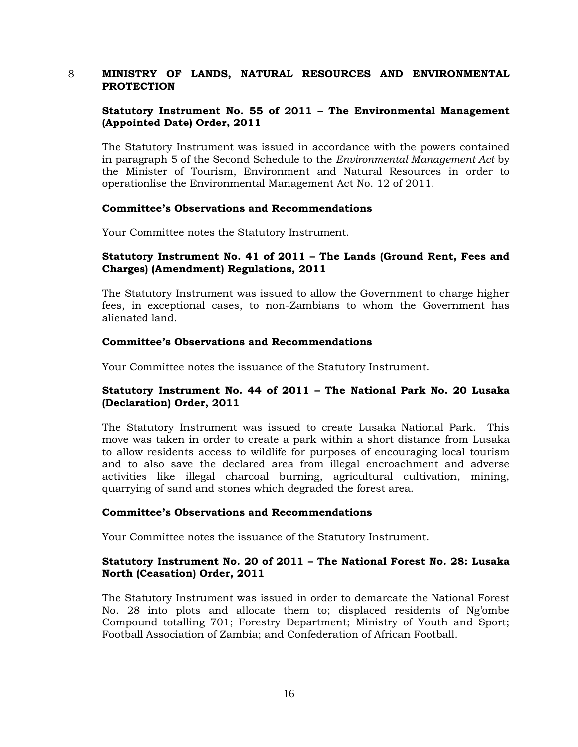## 8 **MINISTRY OF LANDS, NATURAL RESOURCES AND ENVIRONMENTAL PROTECTION**

# **Statutory Instrument No. 55 of 2011 – The Environmental Management (Appointed Date) Order, 2011**

The Statutory Instrument was issued in accordance with the powers contained in paragraph 5 of the Second Schedule to the *Environmental Management Act* by the Minister of Tourism, Environment and Natural Resources in order to operationlise the Environmental Management Act No. 12 of 2011.

## **Committee's Observations and Recommendations**

Your Committee notes the Statutory Instrument.

## **Statutory Instrument No. 41 of 2011 – The Lands (Ground Rent, Fees and Charges) (Amendment) Regulations, 2011**

The Statutory Instrument was issued to allow the Government to charge higher fees, in exceptional cases, to non-Zambians to whom the Government has alienated land.

#### **Committee's Observations and Recommendations**

Your Committee notes the issuance of the Statutory Instrument.

## **Statutory Instrument No. 44 of 2011 – The National Park No. 20 Lusaka (Declaration) Order, 2011**

The Statutory Instrument was issued to create Lusaka National Park. This move was taken in order to create a park within a short distance from Lusaka to allow residents access to wildlife for purposes of encouraging local tourism and to also save the declared area from illegal encroachment and adverse activities like illegal charcoal burning, agricultural cultivation, mining, quarrying of sand and stones which degraded the forest area.

## **Committee's Observations and Recommendations**

Your Committee notes the issuance of the Statutory Instrument.

## **Statutory Instrument No. 20 of 2011 – The National Forest No. 28: Lusaka North (Ceasation) Order, 2011**

The Statutory Instrument was issued in order to demarcate the National Forest No. 28 into plots and allocate them to; displaced residents of Ng'ombe Compound totalling 701; Forestry Department; Ministry of Youth and Sport; Football Association of Zambia; and Confederation of African Football.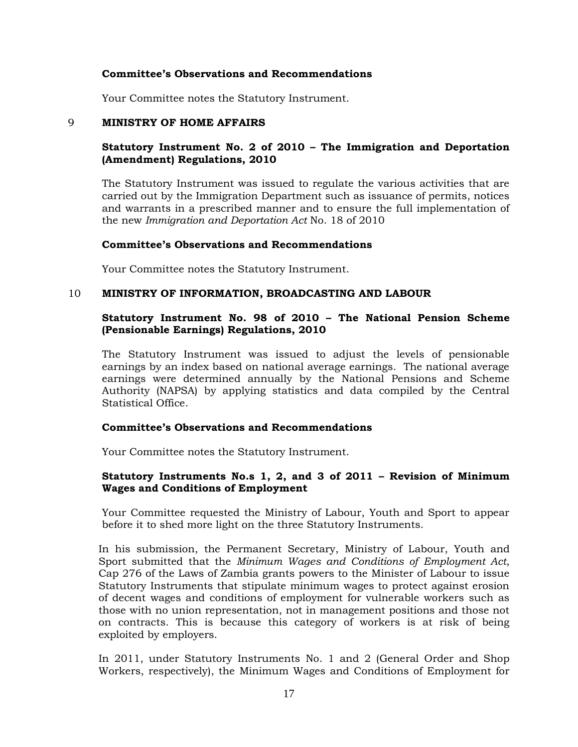Your Committee notes the Statutory Instrument.

#### 9 **MINISTRY OF HOME AFFAIRS**

## **Statutory Instrument No. 2 of 2010 – The Immigration and Deportation (Amendment) Regulations, 2010**

The Statutory Instrument was issued to regulate the various activities that are carried out by the Immigration Department such as issuance of permits, notices and warrants in a prescribed manner and to ensure the full implementation of the new *Immigration and Deportation Act* No. 18 of 2010

#### **Committee's Observations and Recommendations**

Your Committee notes the Statutory Instrument.

## 10 **MINISTRY OF INFORMATION, BROADCASTING AND LABOUR**

## **Statutory Instrument No. 98 of 2010 – The National Pension Scheme (Pensionable Earnings) Regulations, 2010**

The Statutory Instrument was issued to adjust the levels of pensionable earnings by an index based on national average earnings. The national average earnings were determined annually by the National Pensions and Scheme Authority (NAPSA) by applying statistics and data compiled by the Central Statistical Office.

#### **Committee's Observations and Recommendations**

Your Committee notes the Statutory Instrument.

## **Statutory Instruments No.s 1, 2, and 3 of 2011 – Revision of Minimum Wages and Conditions of Employment**

Your Committee requested the Ministry of Labour, Youth and Sport to appear before it to shed more light on the three Statutory Instruments.

In his submission, the Permanent Secretary, Ministry of Labour, Youth and Sport submitted that the *Minimum Wages and Conditions of Employment Act*, Cap 276 of the Laws of Zambia grants powers to the Minister of Labour to issue Statutory Instruments that stipulate minimum wages to protect against erosion of decent wages and conditions of employment for vulnerable workers such as those with no union representation, not in management positions and those not on contracts. This is because this category of workers is at risk of being exploited by employers.

In 2011, under Statutory Instruments No. 1 and 2 (General Order and Shop Workers, respectively), the Minimum Wages and Conditions of Employment for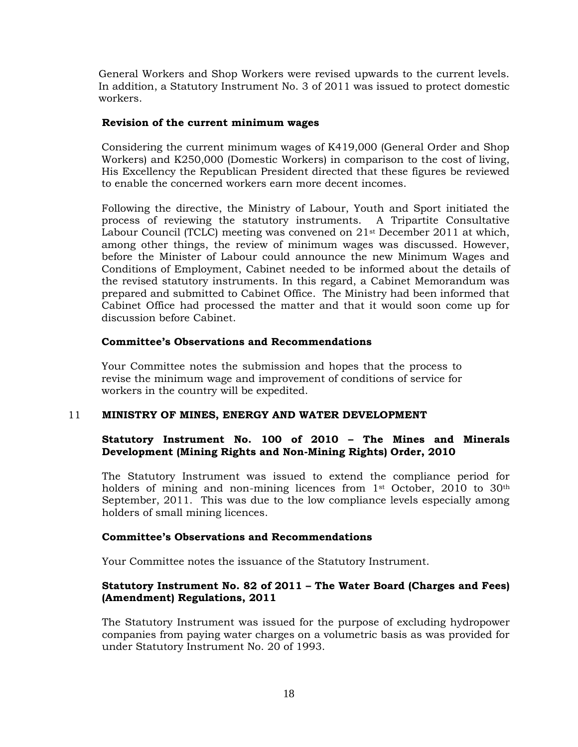General Workers and Shop Workers were revised upwards to the current levels. In addition, a Statutory Instrument No. 3 of 2011 was issued to protect domestic workers.

## **Revision of the current minimum wages**

Considering the current minimum wages of K419,000 (General Order and Shop Workers) and K250,000 (Domestic Workers) in comparison to the cost of living, His Excellency the Republican President directed that these figures be reviewed to enable the concerned workers earn more decent incomes.

Following the directive, the Ministry of Labour, Youth and Sport initiated the process of reviewing the statutory instruments. A Tripartite Consultative Labour Council (TCLC) meeting was convened on 21st December 2011 at which, among other things, the review of minimum wages was discussed. However, before the Minister of Labour could announce the new Minimum Wages and Conditions of Employment, Cabinet needed to be informed about the details of the revised statutory instruments. In this regard, a Cabinet Memorandum was prepared and submitted to Cabinet Office. The Ministry had been informed that Cabinet Office had processed the matter and that it would soon come up for discussion before Cabinet.

## **Committee's Observations and Recommendations**

Your Committee notes the submission and hopes that the process to revise the minimum wage and improvement of conditions of service for workers in the country will be expedited.

## 11 **MINISTRY OF MINES, ENERGY AND WATER DEVELOPMENT**

# **Statutory Instrument No. 100 of 2010 – The Mines and Minerals Development (Mining Rights and Non-Mining Rights) Order, 2010**

The Statutory Instrument was issued to extend the compliance period for holders of mining and non-mining licences from  $1<sup>st</sup>$  October, 2010 to 30<sup>th</sup> September, 2011. This was due to the low compliance levels especially among holders of small mining licences.

## **Committee's Observations and Recommendations**

Your Committee notes the issuance of the Statutory Instrument.

## **Statutory Instrument No. 82 of 2011 – The Water Board (Charges and Fees) (Amendment) Regulations, 2011**

The Statutory Instrument was issued for the purpose of excluding hydropower companies from paying water charges on a volumetric basis as was provided for under Statutory Instrument No. 20 of 1993.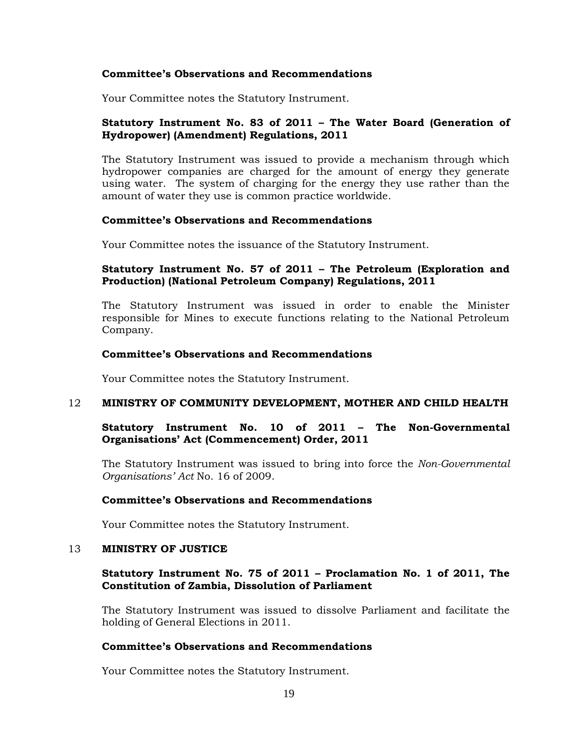Your Committee notes the Statutory Instrument.

## **Statutory Instrument No. 83 of 2011 – The Water Board (Generation of Hydropower) (Amendment) Regulations, 2011**

The Statutory Instrument was issued to provide a mechanism through which hydropower companies are charged for the amount of energy they generate using water. The system of charging for the energy they use rather than the amount of water they use is common practice worldwide.

#### **Committee's Observations and Recommendations**

Your Committee notes the issuance of the Statutory Instrument.

## **Statutory Instrument No. 57 of 2011 – The Petroleum (Exploration and Production) (National Petroleum Company) Regulations, 2011**

The Statutory Instrument was issued in order to enable the Minister responsible for Mines to execute functions relating to the National Petroleum Company.

## **Committee's Observations and Recommendations**

Your Committee notes the Statutory Instrument.

#### 12 **MINISTRY OF COMMUNITY DEVELOPMENT, MOTHER AND CHILD HEALTH**

## **Statutory Instrument No. 10 of 2011 – The Non-Governmental Organisations' Act (Commencement) Order, 2011**

The Statutory Instrument was issued to bring into force the *Non-Governmental Organisations' Act* No. 16 of 2009.

#### **Committee's Observations and Recommendations**

Your Committee notes the Statutory Instrument.

#### 13 **MINISTRY OF JUSTICE**

## **Statutory Instrument No. 75 of 2011 – Proclamation No. 1 of 2011, The Constitution of Zambia, Dissolution of Parliament**

The Statutory Instrument was issued to dissolve Parliament and facilitate the holding of General Elections in 2011.

## **Committee's Observations and Recommendations**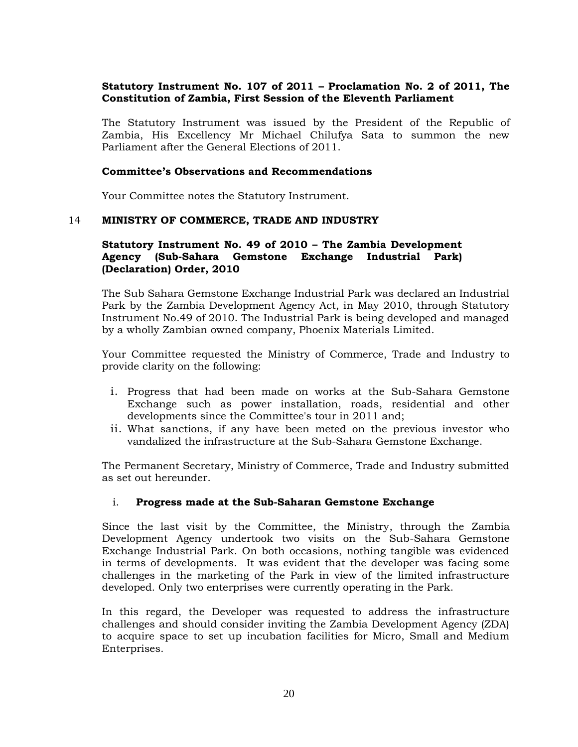# **Statutory Instrument No. 107 of 2011 – Proclamation No. 2 of 2011, The Constitution of Zambia, First Session of the Eleventh Parliament**

The Statutory Instrument was issued by the President of the Republic of Zambia, His Excellency Mr Michael Chilufya Sata to summon the new Parliament after the General Elections of 2011.

## **Committee's Observations and Recommendations**

Your Committee notes the Statutory Instrument.

#### 14 **MINISTRY OF COMMERCE, TRADE AND INDUSTRY**

## **Statutory Instrument No. 49 of 2010 – The Zambia Development Agency (Sub-Sahara Gemstone Exchange Industrial Park) (Declaration) Order, 2010**

The Sub Sahara Gemstone Exchange Industrial Park was declared an Industrial Park by the Zambia Development Agency Act, in May 2010, through Statutory Instrument No.49 of 2010. The Industrial Park is being developed and managed by a wholly Zambian owned company, Phoenix Materials Limited.

Your Committee requested the Ministry of Commerce, Trade and Industry to provide clarity on the following:

- i. Progress that had been made on works at the Sub-Sahara Gemstone Exchange such as power installation, roads, residential and other developments since the Committee's tour in 2011 and;
- ii. What sanctions, if any have been meted on the previous investor who vandalized the infrastructure at the Sub-Sahara Gemstone Exchange.

The Permanent Secretary, Ministry of Commerce, Trade and Industry submitted as set out hereunder.

#### i. **Progress made at the Sub-Saharan Gemstone Exchange**

Since the last visit by the Committee, the Ministry, through the Zambia Development Agency undertook two visits on the Sub-Sahara Gemstone Exchange Industrial Park. On both occasions, nothing tangible was evidenced in terms of developments. It was evident that the developer was facing some challenges in the marketing of the Park in view of the limited infrastructure developed. Only two enterprises were currently operating in the Park.

In this regard, the Developer was requested to address the infrastructure challenges and should consider inviting the Zambia Development Agency (ZDA) to acquire space to set up incubation facilities for Micro, Small and Medium Enterprises.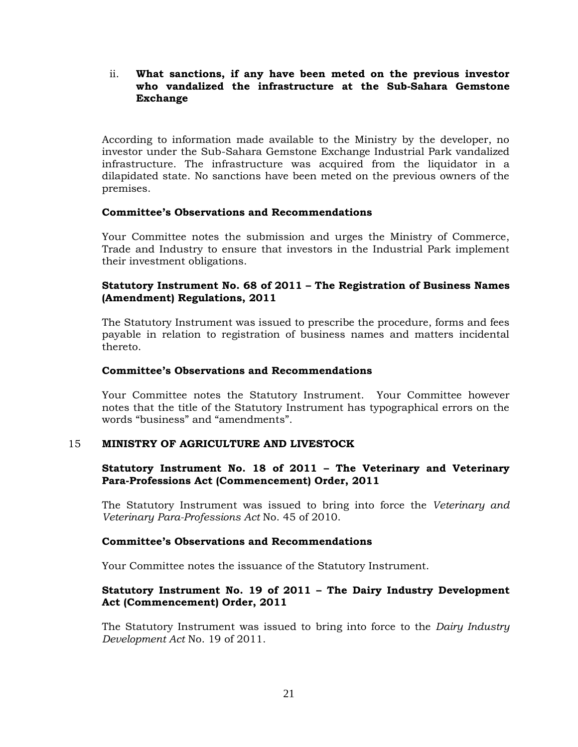# ii. **What sanctions, if any have been meted on the previous investor who vandalized the infrastructure at the Sub-Sahara Gemstone Exchange**

According to information made available to the Ministry by the developer, no investor under the Sub-Sahara Gemstone Exchange Industrial Park vandalized infrastructure. The infrastructure was acquired from the liquidator in a dilapidated state. No sanctions have been meted on the previous owners of the premises.

## **Committee's Observations and Recommendations**

Your Committee notes the submission and urges the Ministry of Commerce, Trade and Industry to ensure that investors in the Industrial Park implement their investment obligations.

# **Statutory Instrument No. 68 of 2011 – The Registration of Business Names (Amendment) Regulations, 2011**

The Statutory Instrument was issued to prescribe the procedure, forms and fees payable in relation to registration of business names and matters incidental thereto.

## **Committee's Observations and Recommendations**

Your Committee notes the Statutory Instrument. Your Committee however notes that the title of the Statutory Instrument has typographical errors on the words "business" and "amendments".

## 15 **MINISTRY OF AGRICULTURE AND LIVESTOCK**

## **Statutory Instrument No. 18 of 2011 – The Veterinary and Veterinary Para-Professions Act (Commencement) Order, 2011**

The Statutory Instrument was issued to bring into force the *Veterinary and Veterinary Para-Professions Act* No. 45 of 2010.

## **Committee's Observations and Recommendations**

Your Committee notes the issuance of the Statutory Instrument.

# **Statutory Instrument No. 19 of 2011 – The Dairy Industry Development Act (Commencement) Order, 2011**

The Statutory Instrument was issued to bring into force to the *Dairy Industry Development Act* No. 19 of 2011.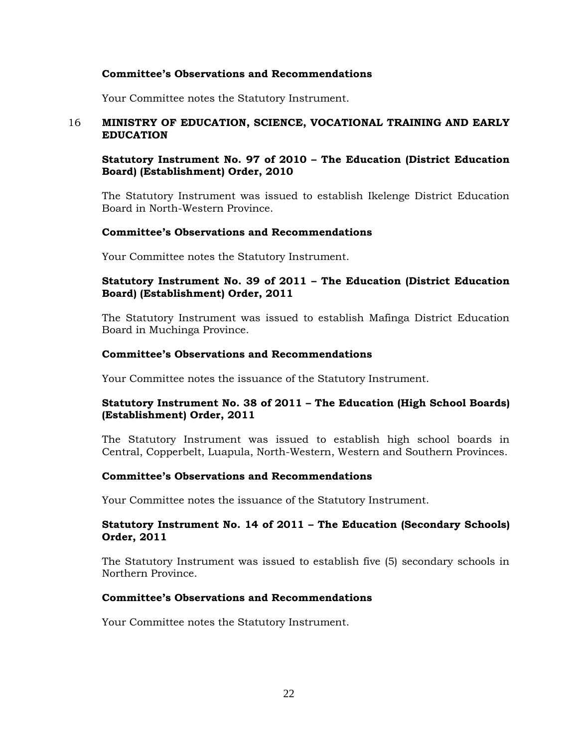Your Committee notes the Statutory Instrument.

## 16 **MINISTRY OF EDUCATION, SCIENCE, VOCATIONAL TRAINING AND EARLY EDUCATION**

# **Statutory Instrument No. 97 of 2010 – The Education (District Education Board) (Establishment) Order, 2010**

The Statutory Instrument was issued to establish Ikelenge District Education Board in North-Western Province.

#### **Committee's Observations and Recommendations**

Your Committee notes the Statutory Instrument.

## **Statutory Instrument No. 39 of 2011 – The Education (District Education Board) (Establishment) Order, 2011**

The Statutory Instrument was issued to establish Mafinga District Education Board in Muchinga Province.

## **Committee's Observations and Recommendations**

Your Committee notes the issuance of the Statutory Instrument.

## **Statutory Instrument No. 38 of 2011 – The Education (High School Boards) (Establishment) Order, 2011**

The Statutory Instrument was issued to establish high school boards in Central, Copperbelt, Luapula, North-Western, Western and Southern Provinces.

#### **Committee's Observations and Recommendations**

Your Committee notes the issuance of the Statutory Instrument.

## **Statutory Instrument No. 14 of 2011 – The Education (Secondary Schools) Order, 2011**

The Statutory Instrument was issued to establish five (5) secondary schools in Northern Province.

#### **Committee's Observations and Recommendations**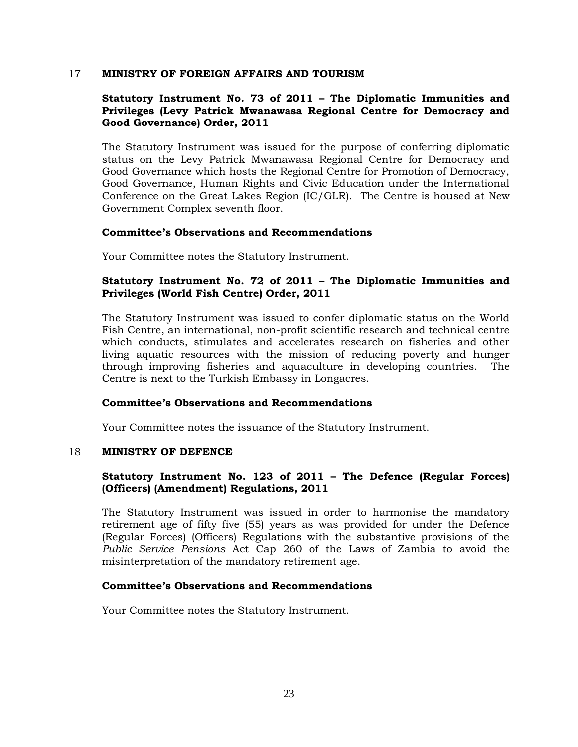#### 17 **MINISTRY OF FOREIGN AFFAIRS AND TOURISM**

# **Statutory Instrument No. 73 of 2011 – The Diplomatic Immunities and Privileges (Levy Patrick Mwanawasa Regional Centre for Democracy and Good Governance) Order, 2011**

The Statutory Instrument was issued for the purpose of conferring diplomatic status on the Levy Patrick Mwanawasa Regional Centre for Democracy and Good Governance which hosts the Regional Centre for Promotion of Democracy, Good Governance, Human Rights and Civic Education under the International Conference on the Great Lakes Region (IC/GLR). The Centre is housed at New Government Complex seventh floor.

#### **Committee's Observations and Recommendations**

Your Committee notes the Statutory Instrument.

# **Statutory Instrument No. 72 of 2011 – The Diplomatic Immunities and Privileges (World Fish Centre) Order, 2011**

The Statutory Instrument was issued to confer diplomatic status on the World Fish Centre, an international, non-profit scientific research and technical centre which conducts, stimulates and accelerates research on fisheries and other living aquatic resources with the mission of reducing poverty and hunger through improving fisheries and aquaculture in developing countries. The Centre is next to the Turkish Embassy in Longacres.

## **Committee's Observations and Recommendations**

Your Committee notes the issuance of the Statutory Instrument.

#### 18 **MINISTRY OF DEFENCE**

## **Statutory Instrument No. 123 of 2011 – The Defence (Regular Forces) (Officers) (Amendment) Regulations, 2011**

The Statutory Instrument was issued in order to harmonise the mandatory retirement age of fifty five (55) years as was provided for under the Defence (Regular Forces) (Officers) Regulations with the substantive provisions of the *Public Service Pensions* Act Cap 260 of the Laws of Zambia to avoid the misinterpretation of the mandatory retirement age.

## **Committee's Observations and Recommendations**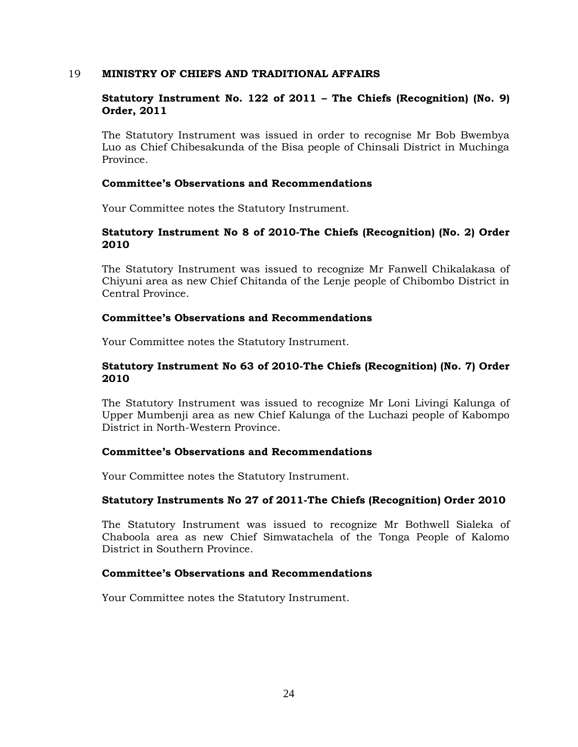## 19 **MINISTRY OF CHIEFS AND TRADITIONAL AFFAIRS**

## **Statutory Instrument No. 122 of 2011 – The Chiefs (Recognition) (No. 9) Order, 2011**

The Statutory Instrument was issued in order to recognise Mr Bob Bwembya Luo as Chief Chibesakunda of the Bisa people of Chinsali District in Muchinga Province.

#### **Committee's Observations and Recommendations**

Your Committee notes the Statutory Instrument.

## **Statutory Instrument No 8 of 2010-The Chiefs (Recognition) (No. 2) Order 2010**

The Statutory Instrument was issued to recognize Mr Fanwell Chikalakasa of Chiyuni area as new Chief Chitanda of the Lenje people of Chibombo District in Central Province.

#### **Committee's Observations and Recommendations**

Your Committee notes the Statutory Instrument.

## **Statutory Instrument No 63 of 2010-The Chiefs (Recognition) (No. 7) Order 2010**

The Statutory Instrument was issued to recognize Mr Loni Livingi Kalunga of Upper Mumbenji area as new Chief Kalunga of the Luchazi people of Kabompo District in North-Western Province.

## **Committee's Observations and Recommendations**

Your Committee notes the Statutory Instrument.

#### **Statutory Instruments No 27 of 2011-The Chiefs (Recognition) Order 2010**

The Statutory Instrument was issued to recognize Mr Bothwell Sialeka of Chaboola area as new Chief Simwatachela of the Tonga People of Kalomo District in Southern Province.

## **Committee's Observations and Recommendations**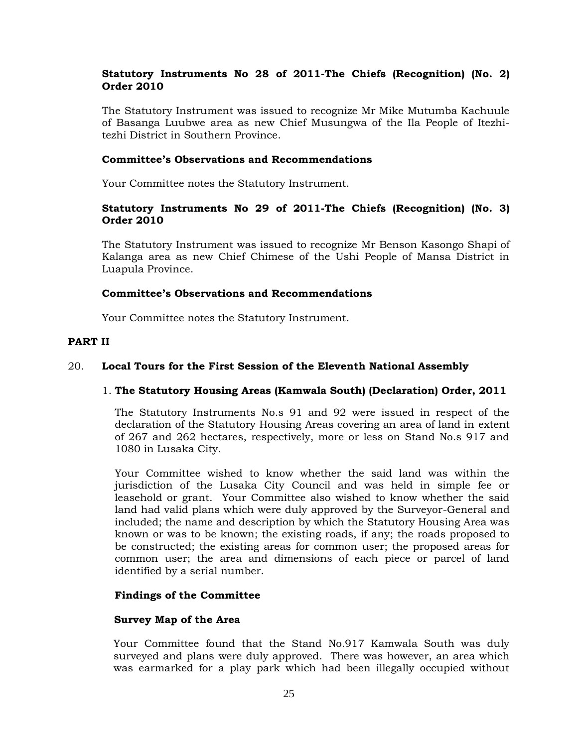# **Statutory Instruments No 28 of 2011-The Chiefs (Recognition) (No. 2) Order 2010**

The Statutory Instrument was issued to recognize Mr Mike Mutumba Kachuule of Basanga Luubwe area as new Chief Musungwa of the Ila People of Itezhitezhi District in Southern Province.

#### **Committee's Observations and Recommendations**

Your Committee notes the Statutory Instrument.

## **Statutory Instruments No 29 of 2011-The Chiefs (Recognition) (No. 3) Order 2010**

The Statutory Instrument was issued to recognize Mr Benson Kasongo Shapi of Kalanga area as new Chief Chimese of the Ushi People of Mansa District in Luapula Province.

#### **Committee's Observations and Recommendations**

Your Committee notes the Statutory Instrument.

## **PART II**

#### 20. **Local Tours for the First Session of the Eleventh National Assembly**

#### 1. **The Statutory Housing Areas (Kamwala South) (Declaration) Order, 2011**

The Statutory Instruments No.s 91 and 92 were issued in respect of the declaration of the Statutory Housing Areas covering an area of land in extent of 267 and 262 hectares, respectively, more or less on Stand No.s 917 and 1080 in Lusaka City.

Your Committee wished to know whether the said land was within the jurisdiction of the Lusaka City Council and was held in simple fee or leasehold or grant. Your Committee also wished to know whether the said land had valid plans which were duly approved by the Surveyor-General and included; the name and description by which the Statutory Housing Area was known or was to be known; the existing roads, if any; the roads proposed to be constructed; the existing areas for common user; the proposed areas for common user; the area and dimensions of each piece or parcel of land identified by a serial number.

#### **Findings of the Committee**

#### **Survey Map of the Area**

Your Committee found that the Stand No.917 Kamwala South was duly surveyed and plans were duly approved. There was however, an area which was earmarked for a play park which had been illegally occupied without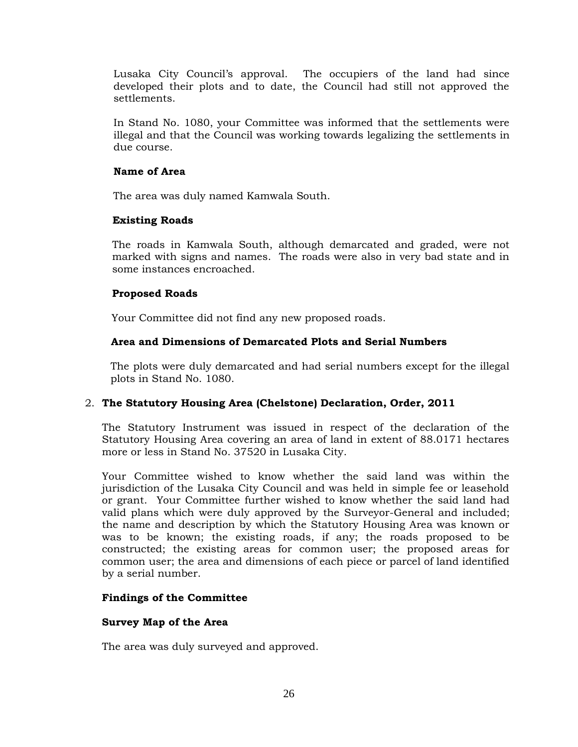Lusaka City Council's approval. The occupiers of the land had since developed their plots and to date, the Council had still not approved the settlements.

In Stand No. 1080, your Committee was informed that the settlements were illegal and that the Council was working towards legalizing the settlements in due course.

## **Name of Area**

The area was duly named Kamwala South.

# **Existing Roads**

The roads in Kamwala South, although demarcated and graded, were not marked with signs and names. The roads were also in very bad state and in some instances encroached.

# **Proposed Roads**

Your Committee did not find any new proposed roads.

# **Area and Dimensions of Demarcated Plots and Serial Numbers**

The plots were duly demarcated and had serial numbers except for the illegal plots in Stand No. 1080.

# 2. **The Statutory Housing Area (Chelstone) Declaration, Order, 2011**

The Statutory Instrument was issued in respect of the declaration of the Statutory Housing Area covering an area of land in extent of 88.0171 hectares more or less in Stand No. 37520 in Lusaka City.

Your Committee wished to know whether the said land was within the jurisdiction of the Lusaka City Council and was held in simple fee or leasehold or grant. Your Committee further wished to know whether the said land had valid plans which were duly approved by the Surveyor-General and included; the name and description by which the Statutory Housing Area was known or was to be known; the existing roads, if any; the roads proposed to be constructed; the existing areas for common user; the proposed areas for common user; the area and dimensions of each piece or parcel of land identified by a serial number.

# **Findings of the Committee**

# **Survey Map of the Area**

The area was duly surveyed and approved.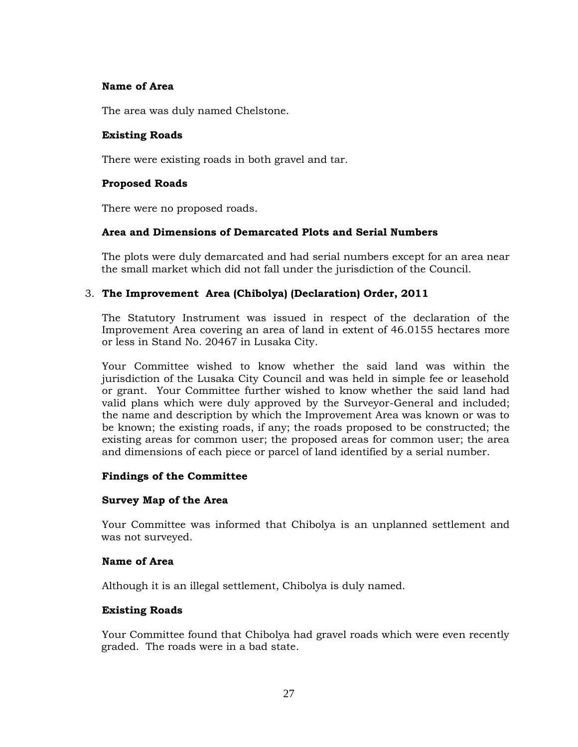## **Name of Area**

The area was duly named Chelstone.

## **Existing Roads**

There were existing roads in both gravel and tar.

## **Proposed Roads**

There were no proposed roads.

## **Area and Dimensions of Demarcated Plots and Serial Numbers**

The plots were duly demarcated and had serial numbers except for an area near the small market which did not fall under the jurisdiction of the Council.

# 3. **The Improvement Area (Chibolya) (Declaration) Order, 2011**

The Statutory Instrument was issued in respect of the declaration of the Improvement Area covering an area of land in extent of 46.0155 hectares more or less in Stand No. 20467 in Lusaka City.

Your Committee wished to know whether the said land was within the jurisdiction of the Lusaka City Council and was held in simple fee or leasehold or grant. Your Committee further wished to know whether the said land had valid plans which were duly approved by the Surveyor-General and included; the name and description by which the Improvement Area was known or was to be known; the existing roads, if any; the roads proposed to be constructed; the existing areas for common user; the proposed areas for common user; the area and dimensions of each piece or parcel of land identified by a serial number.

## **Findings of the Committee**

## **Survey Map of the Area**

Your Committee was informed that Chibolya is an unplanned settlement and was not surveyed.

## **Name of Area**

Although it is an illegal settlement, Chibolya is duly named.

## **Existing Roads**

Your Committee found that Chibolya had gravel roads which were even recently graded. The roads were in a bad state.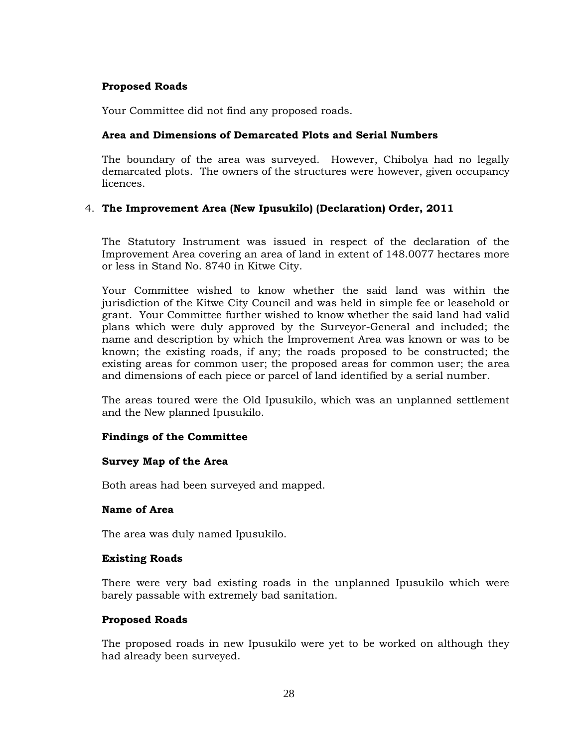## **Proposed Roads**

Your Committee did not find any proposed roads.

# **Area and Dimensions of Demarcated Plots and Serial Numbers**

The boundary of the area was surveyed. However, Chibolya had no legally demarcated plots. The owners of the structures were however, given occupancy licences.

## 4. **The Improvement Area (New Ipusukilo) (Declaration) Order, 2011**

The Statutory Instrument was issued in respect of the declaration of the Improvement Area covering an area of land in extent of 148.0077 hectares more or less in Stand No. 8740 in Kitwe City.

Your Committee wished to know whether the said land was within the jurisdiction of the Kitwe City Council and was held in simple fee or leasehold or grant. Your Committee further wished to know whether the said land had valid plans which were duly approved by the Surveyor-General and included; the name and description by which the Improvement Area was known or was to be known; the existing roads, if any; the roads proposed to be constructed; the existing areas for common user; the proposed areas for common user; the area and dimensions of each piece or parcel of land identified by a serial number.

The areas toured were the Old Ipusukilo, which was an unplanned settlement and the New planned Ipusukilo.

## **Findings of the Committee**

## **Survey Map of the Area**

Both areas had been surveyed and mapped.

## **Name of Area**

The area was duly named Ipusukilo.

## **Existing Roads**

There were very bad existing roads in the unplanned Ipusukilo which were barely passable with extremely bad sanitation.

## **Proposed Roads**

The proposed roads in new Ipusukilo were yet to be worked on although they had already been surveyed.